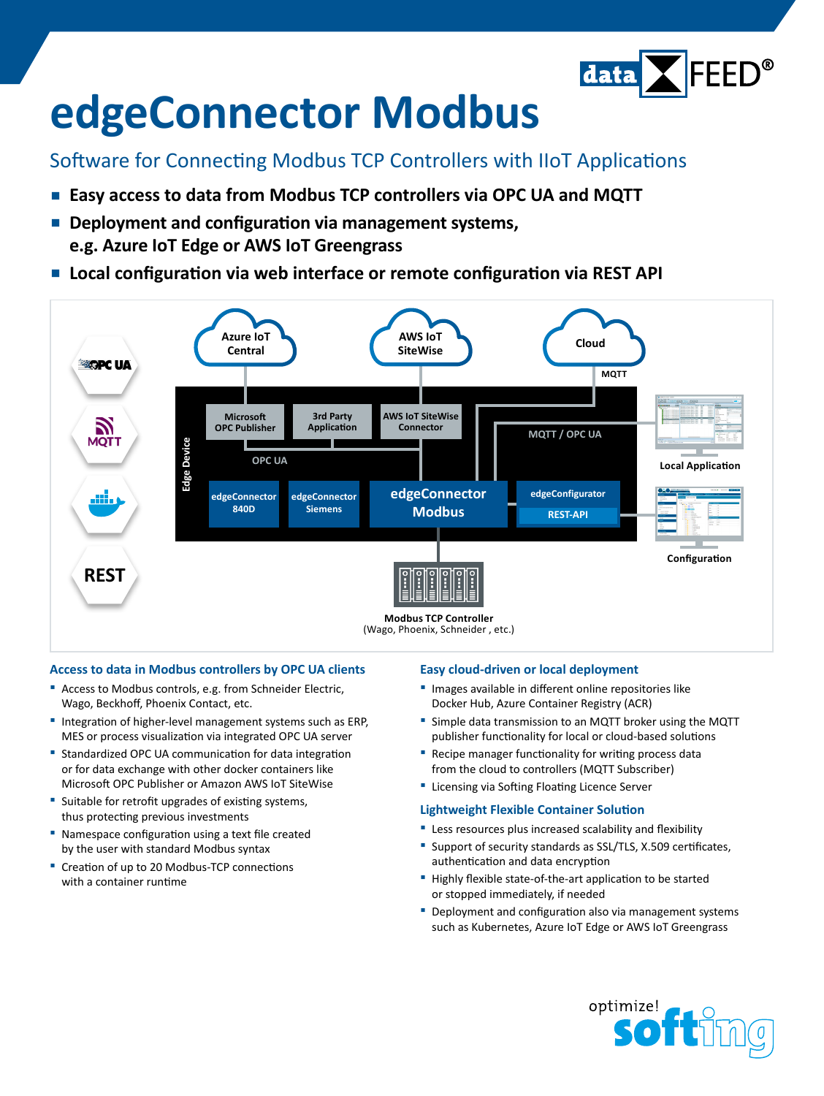

# **edgeConnector Modbus**

### Software for Connecting Modbus TCP Controllers with IIoT Applications

- **▪  Easy access to data from Modbus TCP controllers via OPC UA and MQTT**
- **▪  Deployment and configuration via management systems, e.g. Azure IoT Edge or AWS IoT Greengrass**
- **▪  Local configuration via web interface or remote configuration via REST API**



#### **Access to data in Modbus controllers by OPC UA clients**

- **▪** Access to Modbus controls, e.g. from Schneider Electric, Wago, Beckhoff, Phoenix Contact, etc.
- **▪** Integration of higher-level management systems such as ERP, MES or process visualization via integrated OPC UA server
- **▪** Standardized OPC UA communication for data integration or for data exchange with other docker containers like Microsoft OPC Publisher or Amazon AWS IoT SiteWise
- Suitable for retrofit upgrades of existing systems, thus protecting previous investments
- **▪** Namespace configuration using a text file created by the user with standard Modbus syntax
- **▪** Creation of up to 20 Modbus-TCP connections with a container runtime

#### **Easy cloud-driven or local deployment**

- **▪** Images available in different online repositories like Docker Hub, Azure Container Registry (ACR)
- **▪** Simple data transmission to an MQTT broker using the MQTT publisher functionality for local or cloud-based solutions
- **▪** Recipe manager functionality for writing process data from the cloud to controllers (MQTT Subscriber)
- **▪** Licensing via Softing Floating Licence Server

#### **Lightweight Flexible Container Solution**

- **▪** Less resources plus increased scalability and flexibility
- **▪** Support of security standards as SSL/TLS, X.509 certificates, authentication and data encryption
- **▪** Highly flexible state-of-the-art application to be started or stopped immediately, if needed
- **▪** Deployment and configuration also via management systems such as Kubernetes, Azure IoT Edge or AWS IoT Greengrass